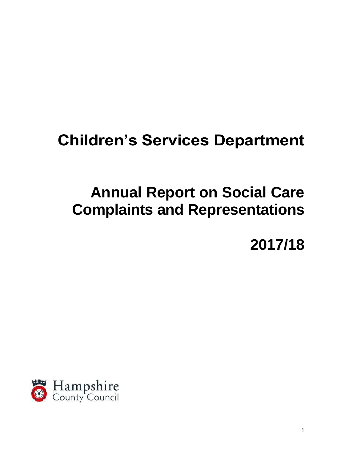# **Children's Services Department**

# **Annual Report on Social Care Complaints and Representations**

**2017/18**

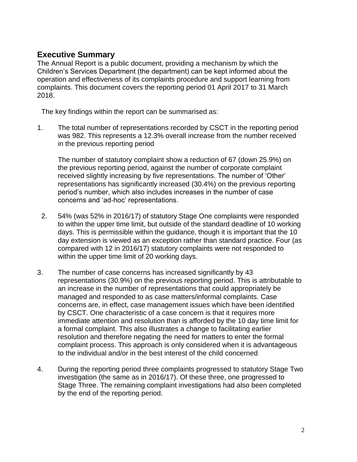# **Executive Summary**

The Annual Report is a public document, providing a mechanism by which the Children's Services Department (the department) can be kept informed about the operation and effectiveness of its complaints procedure and support learning from complaints. This document covers the reporting period 01 April 2017 to 31 March 2018.

The key findings within the report can be summarised as:

1. The total number of representations recorded by CSCT in the reporting period was 982. This represents a 12.3% overall increase from the number received in the previous reporting period

The number of statutory complaint show a reduction of 67 (down 25.9%) on the previous reporting period, against the number of corporate complaint received slightly increasing by five representations. The number of 'Other' representations has significantly increased (30.4%) on the previous reporting period's number, which also includes increases in the number of case concerns and 'ad-hoc' representations.

- 2. 54% (was 52% in 2016/17) of statutory Stage One complaints were responded to within the upper time limit, but outside of the standard deadline of 10 working days. This is permissible within the guidance, though it is important that the 10 day extension is viewed as an exception rather than standard practice. Four (as compared with 12 in 2016/17) statutory complaints were not responded to within the upper time limit of 20 working days.
- 3. The number of case concerns has increased significantly by 43 representations (30.9%) on the previous reporting period. This is attributable to an increase in the number of representations that could appropriately be managed and responded to as case matters/informal complaints. Case concerns are, in effect, case management issues which have been identified by CSCT. One characteristic of a case concern is that it requires more immediate attention and resolution than is afforded by the 10 day time limit for a formal complaint. This also illustrates a change to facilitating earlier resolution and therefore negating the need for matters to enter the formal complaint process. This approach is only considered when it is advantageous to the individual and/or in the best interest of the child concerned.
- 4. During the reporting period three complaints progressed to statutory Stage Two investigation (the same as in 2016/17). Of these three, one progressed to Stage Three. The remaining complaint investigations had also been completed by the end of the reporting period.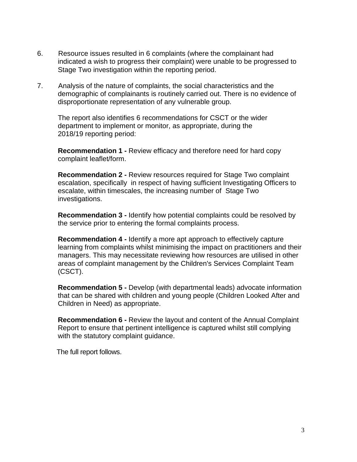- 6. Resource issues resulted in 6 complaints (where the complainant had indicated a wish to progress their complaint) were unable to be progressed to Stage Two investigation within the reporting period.
- 7. Analysis of the nature of complaints, the social characteristics and the demographic of complainants is routinely carried out. There is no evidence of disproportionate representation of any vulnerable group.

The report also identifies 6 recommendations for CSCT or the wider department to implement or monitor, as appropriate, during the 2018/19 reporting period:

**Recommendation 1 -** Review efficacy and therefore need for hard copy complaint leaflet/form.

**Recommendation 2 -** Review resources required for Stage Two complaint escalation, specifically in respect of having sufficient Investigating Officers to escalate, within timescales, the increasing number of Stage Two investigations.

**Recommendation 3 -** Identify how potential complaints could be resolved by the service prior to entering the formal complaints process.

**Recommendation 4 -** Identify a more apt approach to effectively capture learning from complaints whilst minimising the impact on practitioners and their managers. This may necessitate reviewing how resources are utilised in other areas of complaint management by the Children's Services Complaint Team (CSCT).

**Recommendation 5 -** Develop (with departmental leads) advocate information that can be shared with children and young people (Children Looked After and Children in Need) as appropriate.

**Recommendation 6 -** Review the layout and content of the Annual Complaint Report to ensure that pertinent intelligence is captured whilst still complying with the statutory complaint guidance.

The full report follows.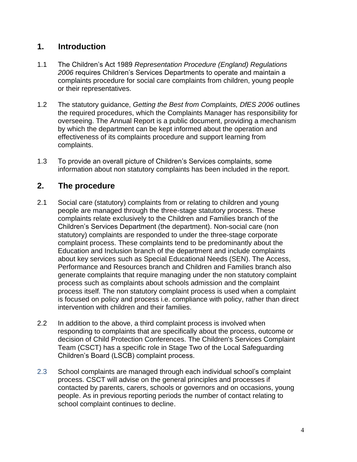# **1. Introduction**

- 1.1 The Children's Act 1989 *Representation Procedure (England) Regulations 2006* requires Children's Services Departments to operate and maintain a complaints procedure for social care complaints from children, young people or their representatives.
- 1.2 The statutory guidance, *Getting the Best from Complaints, DfES 2006* outlines the required procedures, which the Complaints Manager has responsibility for overseeing. The Annual Report is a public document, providing a mechanism by which the department can be kept informed about the operation and effectiveness of its complaints procedure and support learning from complaints.
- 1.3 To provide an overall picture of Children's Services complaints, some information about non statutory complaints has been included in the report.

# **2. The procedure**

- 2.1 Social care (statutory) complaints from or relating to children and young people are managed through the three-stage statutory process. These complaints relate exclusively to the Children and Families branch of the Children's Services Department (the department). Non-social care (non statutory) complaints are responded to under the three-stage corporate complaint process. These complaints tend to be predominantly about the Education and Inclusion branch of the department and include complaints about key services such as Special Educational Needs (SEN). The Access, Performance and Resources branch and Children and Families branch also generate complaints that require managing under the non statutory complaint process such as complaints about schools admission and the complaint process itself. The non statutory complaint process is used when a complaint is focused on policy and process i.e. compliance with policy, rather than direct intervention with children and their families.
- 2.2 In addition to the above, a third complaint process is involved when responding to complaints that are specifically about the process, outcome or decision of Child Protection Conferences. The Children's Services Complaint Team (CSCT) has a specific role in Stage Two of the Local Safeguarding Children's Board (LSCB) complaint process.
- 2.3 School complaints are managed through each individual school's complaint process. CSCT will advise on the general principles and processes if contacted by parents, carers, schools or governors and on occasions, young people. As in previous reporting periods the number of contact relating to school complaint continues to decline.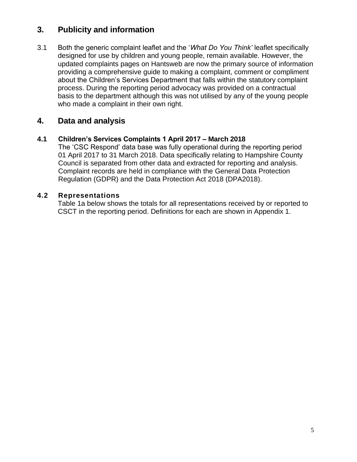# **3. Publicity and information**

3.1 Both the generic complaint leaflet and the '*What Do You Think'* leaflet specifically designed for use by children and young people, remain available. However, the updated complaints pages on Hantsweb are now the primary source of information providing a comprehensive guide to making a complaint, comment or compliment about the Children's Services Department that falls within the statutory complaint process. During the reporting period advocacy was provided on a contractual basis to the department although this was not utilised by any of the young people who made a complaint in their own right.

# **4. Data and analysis**

# **4.1 Children's Services Complaints 1 April 2017 – March 2018**

The 'CSC Respond' data base was fully operational during the reporting period 01 April 2017 to 31 March 2018. Data specifically relating to Hampshire County Council is separated from other data and extracted for reporting and analysis. Complaint records are held in compliance with the General Data Protection Regulation (GDPR) and the Data Protection Act 2018 (DPA2018).

# **4.2 Representations**

Table 1a below shows the totals for all representations received by or reported to CSCT in the reporting period. Definitions for each are shown in Appendix 1.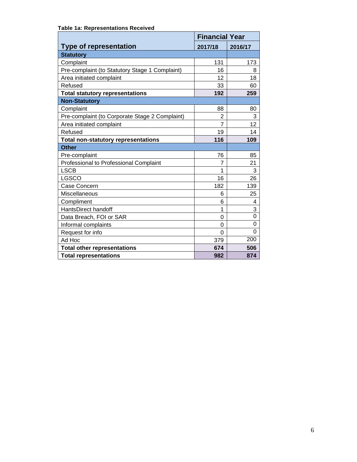|                                                | <b>Financial Year</b> |                |  |
|------------------------------------------------|-----------------------|----------------|--|
| <b>Type of representation</b>                  | 2017/18               | 2016/17        |  |
| <b>Statutory</b>                               |                       |                |  |
| Complaint                                      | 131                   | 173            |  |
| Pre-complaint (to Statutory Stage 1 Complaint) | 16                    | 8              |  |
| Area initiated complaint                       | 12                    | 18             |  |
| Refused                                        | 33                    | 60             |  |
| <b>Total statutory representations</b>         | 192                   | 259            |  |
| <b>Non-Statutory</b>                           |                       |                |  |
| Complaint                                      | 88                    | 80             |  |
| Pre-complaint (to Corporate Stage 2 Complaint) | $\overline{2}$        | 3              |  |
| Area initiated complaint                       | $\overline{7}$        | 12             |  |
| Refused                                        | 19                    | 14             |  |
| <b>Total non-statutory representations</b>     | 116                   | 109            |  |
| <b>Other</b>                                   |                       |                |  |
| Pre-complaint                                  | 76                    | 85             |  |
| Professional to Professional Complaint         | 7                     | 21             |  |
| <b>LSCB</b>                                    | 1                     | 3              |  |
| <b>LGSCO</b>                                   | 16                    | 26             |  |
| Case Concern                                   | 182                   | 139            |  |
| Miscellaneous                                  | 6                     | 25             |  |
| Compliment                                     | 6                     | 4              |  |
| HantsDirect handoff                            | 1                     | $\overline{3}$ |  |
| Data Breach, FOI or SAR                        | $\Omega$              | $\overline{0}$ |  |
| Informal complaints                            | 0                     | 0              |  |
| Request for info                               | $\Omega$              | $\Omega$       |  |
| Ad Hoc                                         | 379                   | 200            |  |
| <b>Total other representations</b>             | 674                   | 506            |  |
| <b>Total representations</b>                   | 982                   | 874            |  |

#### **Table 1a: Representations Received**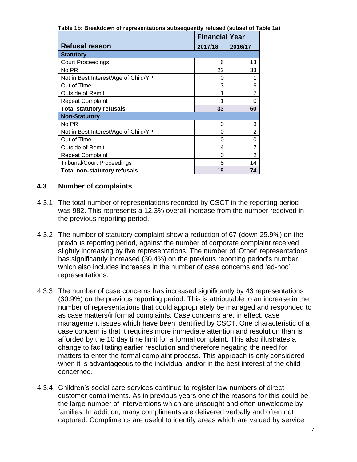**Table 1b: Breakdown of representations subsequently refused (subset of Table 1a)**

|                                      | <b>Financial Year</b> |                |
|--------------------------------------|-----------------------|----------------|
| <b>Refusal reason</b>                | 2017/18               | 2016/17        |
| <b>Statutory</b>                     |                       |                |
| <b>Court Proceedings</b>             | 6                     | 13             |
| No PR                                | 22                    | 33             |
| Not in Best Interest/Age of Child/YP | 0                     |                |
| Out of Time                          | 3                     | 6              |
| <b>Outside of Remit</b>              | 1                     | 7              |
| <b>Repeat Complaint</b>              | 1                     | 0              |
| <b>Total statutory refusals</b>      | 33                    | 60             |
| <b>Non-Statutory</b>                 |                       |                |
| No PR                                | 0                     | 3              |
| Not in Best Interest/Age of Child/YP | 0                     | $\overline{2}$ |
| Out of Time                          | 0                     | 0              |
| <b>Outside of Remit</b>              | 14                    | 7              |
| <b>Repeat Complaint</b>              | 0                     | $\overline{2}$ |
| <b>Tribunal/Court Proceedings</b>    | 5                     | 14             |
| <b>Total non-statutory refusals</b>  | 19                    | 74             |

# **4.3 Number of complaints**

- 4.3.1 The total number of representations recorded by CSCT in the reporting period was 982. This represents a 12.3% overall increase from the number received in the previous reporting period.
- 4.3.2 The number of statutory complaint show a reduction of 67 (down 25.9%) on the previous reporting period, against the number of corporate complaint received slightly increasing by five representations. The number of 'Other' representations has significantly increased (30.4%) on the previous reporting period's number, which also includes increases in the number of case concerns and 'ad-hoc' representations.
- 4.3.3 The number of case concerns has increased significantly by 43 representations (30.9%) on the previous reporting period. This is attributable to an increase in the number of representations that could appropriately be managed and responded to as case matters/informal complaints. Case concerns are, in effect, case management issues which have been identified by CSCT. One characteristic of a case concern is that it requires more immediate attention and resolution than is afforded by the 10 day time limit for a formal complaint. This also illustrates a change to facilitating earlier resolution and therefore negating the need for matters to enter the formal complaint process. This approach is only considered when it is advantageous to the individual and/or in the best interest of the child concerned.
- 4.3.4 Children's social care services continue to register low numbers of direct customer compliments. As in previous years one of the reasons for this could be the large number of interventions which are unsought and often unwelcome by families. In addition, many compliments are delivered verbally and often not captured. Compliments are useful to identify areas which are valued by service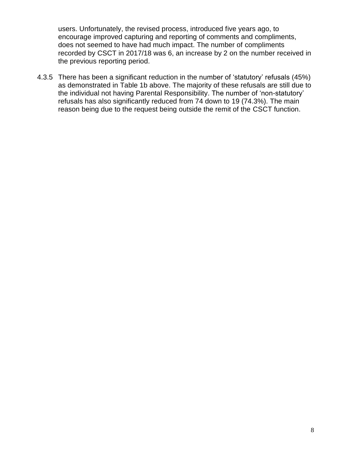users. Unfortunately, the revised process, introduced five years ago, to encourage improved capturing and reporting of comments and compliments, does not seemed to have had much impact. The number of compliments recorded by CSCT in 2017/18 was 6, an increase by 2 on the number received in the previous reporting period.

4.3.5 There has been a significant reduction in the number of 'statutory' refusals (45%) as demonstrated in Table 1b above. The majority of these refusals are still due to the individual not having Parental Responsibility. The number of 'non-statutory' refusals has also significantly reduced from 74 down to 19 (74.3%). The main reason being due to the request being outside the remit of the CSCT function.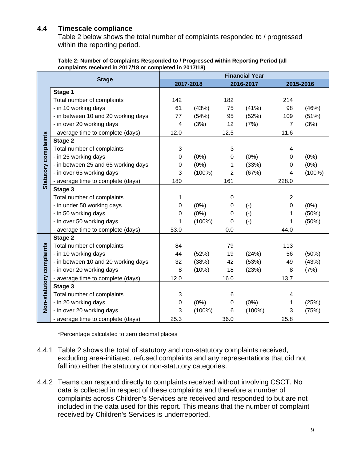# **4.4 Timescale compliance**

Table 2 below shows the total number of complaints responded to / progressed within the reporting period.

|                                                         | Table 2: Number of Complaints Responded to / Progressed within Reporting Period (all |
|---------------------------------------------------------|--------------------------------------------------------------------------------------|
| complaints received in 2017/18 or completed in 2017/18) |                                                                                      |

|                          |                                     |                           | <b>Financial Year</b> |                |           |                |           |  |
|--------------------------|-------------------------------------|---------------------------|-----------------------|----------------|-----------|----------------|-----------|--|
|                          | <b>Stage</b>                        |                           | 2017-2018             |                | 2016-2017 |                | 2015-2016 |  |
|                          | Stage 1                             |                           |                       |                |           |                |           |  |
|                          | Total number of complaints          | 142                       |                       | 182            |           | 214            |           |  |
|                          | - in 10 working days                | 61                        | (43%)                 | 75             | (41%)     | 98             | (46%)     |  |
|                          | - in between 10 and 20 working days | 77                        | (54%)                 | 95             | (52%)     | 109            | (51%)     |  |
|                          | - in over 20 working days           | 4                         | (3%)                  | 12             | (7%)      | $\overline{7}$ | (3%)      |  |
|                          | - average time to complete (days)   | 12.0                      |                       | 12.5           |           | 11.6           |           |  |
| Statutory complaints     | Stage 2                             |                           |                       |                |           |                |           |  |
|                          | Total number of complaints          | $\ensuremath{\mathsf{3}}$ |                       | 3              |           | 4              |           |  |
|                          | - in 25 working days                | 0                         | $(0\%)$               | 0              | (0%)      | 0              | (0%)      |  |
|                          | - in between 25 and 65 working days | 0                         | (0%)                  | 1              | (33%)     | 0              | (0%)      |  |
|                          | - in over 65 working days           | 3                         | (100%)                | $\overline{2}$ | (67%)     | 4              | $(100\%)$ |  |
|                          | - average time to complete (days)   | 180                       |                       | 161            |           | 228.0          |           |  |
|                          | Stage 3                             |                           |                       |                |           |                |           |  |
|                          | Total number of complaints          | 1                         |                       | $\mathbf 0$    |           | $\overline{2}$ |           |  |
|                          | - in under 50 working days          | 0                         | (0%)                  | 0              | $(-)$     | $\mathbf 0$    | (0%)      |  |
|                          | - in 50 working days                | 0                         | (0%)                  | 0              | $(-)$     | 1              | (50%)     |  |
|                          | - in over 50 working days           | 1                         | $(100\%)$             | 0              | $(-)$     | 1              | (50%)     |  |
|                          | - average time to complete (days)   | 53.0                      |                       | 0.0            |           | 44.0           |           |  |
|                          | Stage 2                             |                           |                       |                |           |                |           |  |
|                          | Total number of complaints          | 84                        |                       | 79             |           | 113            |           |  |
|                          | - in 10 working days                | 44                        | (52%)                 | 19             | (24%)     | 56             | (50%)     |  |
|                          | - in between 10 and 20 working days | 32                        | (38%)                 | 42             | (53%)     | 49             | (43%)     |  |
|                          | - in over 20 working days           | 8                         | (10%)                 | 18             | (23%)     | 8              | (7%)      |  |
|                          | - average time to complete (days)   | 12.0                      |                       | 16.0           |           | 13.7           |           |  |
|                          | Stage 3                             |                           |                       |                |           |                |           |  |
|                          | Total number of complaints          | 3                         |                       | 6              |           | 4              |           |  |
| Non-statutory complaints | - in 20 working days                | 0                         | (0%)                  | 0              | (0%)      | 1              | (25%)     |  |
|                          | - in over 20 working days           | 3                         | $(100\%)$             | 6              | $(100\%)$ | 3              | (75%)     |  |
|                          | - average time to complete (days)   | 25.3                      |                       | 36.0           |           | 25.8           |           |  |

\*Percentage calculated to zero decimal places

- 4.4.1 Table 2 shows the total of statutory and non-statutory complaints received, excluding area-initiated, refused complaints and any representations that did not fall into either the statutory or non-statutory categories.
- 4.4.2 Teams can respond directly to complaints received without involving CSCT. No data is collected in respect of these complaints and therefore a number of complaints across Children's Services are received and responded to but are not included in the data used for this report. This means that the number of complaint received by Children's Services is underreported.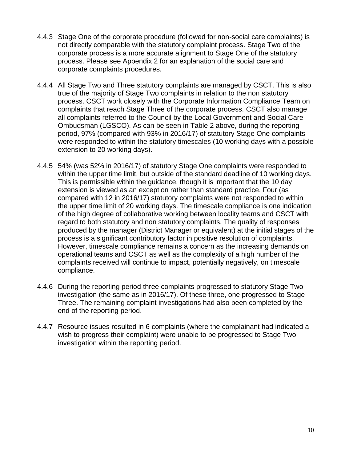- 4.4.3 Stage One of the corporate procedure (followed for non-social care complaints) is not directly comparable with the statutory complaint process. Stage Two of the corporate process is a more accurate alignment to Stage One of the statutory process. Please see Appendix 2 for an explanation of the social care and corporate complaints procedures.
- 4.4.4 All Stage Two and Three statutory complaints are managed by CSCT. This is also true of the majority of Stage Two complaints in relation to the non statutory process. CSCT work closely with the Corporate Information Compliance Team on complaints that reach Stage Three of the corporate process. CSCT also manage all complaints referred to the Council by the Local Government and Social Care Ombudsman (LGSCO). As can be seen in Table 2 above, during the reporting period, 97% (compared with 93% in 2016/17) of statutory Stage One complaints were responded to within the statutory timescales (10 working days with a possible extension to 20 working days).
- 4.4.5 54% (was 52% in 2016/17) of statutory Stage One complaints were responded to within the upper time limit, but outside of the standard deadline of 10 working days. This is permissible within the guidance, though it is important that the 10 day extension is viewed as an exception rather than standard practice. Four (as compared with 12 in 2016/17) statutory complaints were not responded to within the upper time limit of 20 working days. The timescale compliance is one indication of the high degree of collaborative working between locality teams and CSCT with regard to both statutory and non statutory complaints. The quality of responses produced by the manager (District Manager or equivalent) at the initial stages of the process is a significant contributory factor in positive resolution of complaints. However, timescale compliance remains a concern as the increasing demands on operational teams and CSCT as well as the complexity of a high number of the complaints received will continue to impact, potentially negatively, on timescale compliance.
- 4.4.6 During the reporting period three complaints progressed to statutory Stage Two investigation (the same as in 2016/17). Of these three, one progressed to Stage Three. The remaining complaint investigations had also been completed by the end of the reporting period.
- 4.4.7 Resource issues resulted in 6 complaints (where the complainant had indicated a wish to progress their complaint) were unable to be progressed to Stage Two investigation within the reporting period.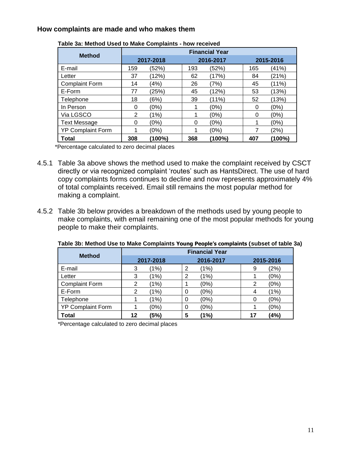## **How complaints are made and who makes them**

| $-0.00$ $-0.000$ $-0.000$ $-0.000$ $-0.000$ $-0.000$ |                       |        |     |           |     |           |  |  |
|------------------------------------------------------|-----------------------|--------|-----|-----------|-----|-----------|--|--|
| <b>Method</b>                                        | <b>Financial Year</b> |        |     |           |     |           |  |  |
|                                                      | 2017-2018             |        |     | 2016-2017 |     | 2015-2016 |  |  |
| E-mail                                               | 159                   | (52%)  | 193 | (52%)     | 165 | (41%)     |  |  |
| Letter                                               | 37                    | (12%)  | 62  | (17%)     | 84  | (21%)     |  |  |
| <b>Complaint Form</b>                                | 14                    | (4%)   | 26  | (7%)      | 45  | (11%)     |  |  |
| E-Form                                               | 77                    | (25%)  | 45  | (12%)     | 53  | (13%)     |  |  |
| Telephone                                            | 18                    | (6%)   | 39  | (11%)     | 52  | (13%)     |  |  |
| In Person                                            | 0                     | (0%)   |     | (0%)      | 0   | (0%)      |  |  |
| Via LGSCO                                            | 2                     | (1%)   |     | (0%)      | 0   | (0%)      |  |  |
| <b>Text Message</b>                                  | 0                     | (0%)   | 0   | (0%)      | 1   | (0%)      |  |  |
| <b>YP Complaint Form</b>                             | 1                     | (0%)   |     | (0%)      | 7   | (2%)      |  |  |
| <b>Total</b>                                         | 308                   | (100%) | 368 | (100%)    | 407 | (100%)    |  |  |

|  |  | Table 3a: Method Used to Make Complaints - how received |  |
|--|--|---------------------------------------------------------|--|
|  |  |                                                         |  |

\*Percentage calculated to zero decimal places

- 4.5.1 Table 3a above shows the method used to make the complaint received by CSCT directly or via recognized complaint 'routes' such as HantsDirect. The use of hard copy complaints forms continues to decline and now represents approximately 4% of total complaints received. Email still remains the most popular method for making a complaint.
- 4.5.2 Table 3b below provides a breakdown of the methods used by young people to make complaints, with email remaining one of the most popular methods for young people to make their complaints.

| <b>Method</b>            | <b>Financial Year</b> |           |   |           |    |           |  |
|--------------------------|-----------------------|-----------|---|-----------|----|-----------|--|
|                          |                       | 2017-2018 |   | 2016-2017 |    | 2015-2016 |  |
| E-mail                   | 3                     | (1%)      | 2 | (1%)      | 9  | (2%)      |  |
| Letter                   | 3                     | (1%)      | 2 | (1%)      |    | (0%)      |  |
| <b>Complaint Form</b>    | 2                     | (1%)      |   | (0%)      | 2  | (0%)      |  |
| E-Form                   | 2                     | (1%)      | 0 | (0%)      | 4  | (1%)      |  |
| Telephone                |                       | (1%)      | 0 | (0%)      | 0  | (0%)      |  |
| <b>YP Complaint Form</b> |                       | (0%)      | 0 | (0%)      |    | (0%)      |  |
| <b>Total</b>             | 12                    | (5%)      | 5 | (1%)      | 17 | (4%)      |  |

**Table 3b: Method Use to Make Complaints Young People's complaints (subset of table 3a)**

\*Percentage calculated to zero decimal places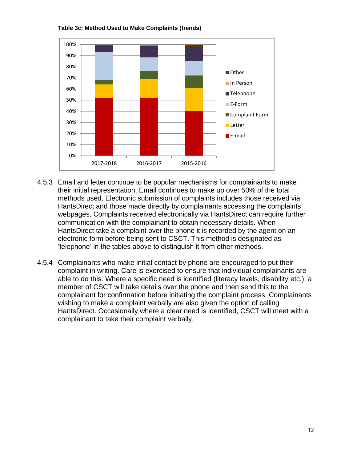



- 4.5.3 Email and letter continue to be popular mechanisms for complainants to make their initial representation. Email continues to make up over 50% of the total methods used. Electronic submission of complaints includes those received via HantsDirect and those made directly by complainants accessing the complaints webpages. Complaints received electronically via HantsDirect can require further communication with the complainant to obtain necessary details. When HantsDirect take a complaint over the phone it is recorded by the agent on an electronic form before being sent to CSCT. This method is designated as 'telephone' in the tables above to distinguish it from other methods.
- 4.5.4 Complainants who make initial contact by phone are encouraged to put their complaint in writing. Care is exercised to ensure that individual complainants are able to do this. Where a specific need is identified (literacy levels, disability etc.), a member of CSCT will take details over the phone and then send this to the complainant for confirmation before initiating the complaint process. Complainants wishing to make a complaint verbally are also given the option of calling HantsDirect. Occasionally where a clear need is identified, CSCT will meet with a complainant to take their complaint verbally.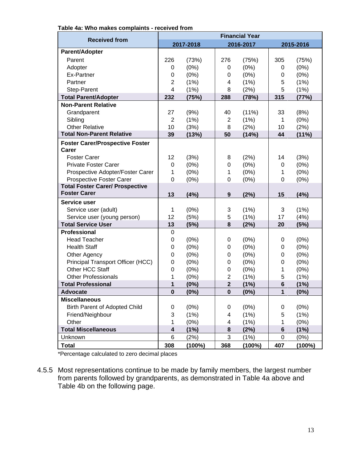|                                        | <b>Financial Year</b>   |           |                  |           |                |           |  |
|----------------------------------------|-------------------------|-----------|------------------|-----------|----------------|-----------|--|
| <b>Received from</b>                   | 2017-2018               |           |                  | 2016-2017 |                | 2015-2016 |  |
| <b>Parent/Adopter</b>                  |                         |           |                  |           |                |           |  |
| Parent                                 | 226                     | (73%)     | 276              | (75%)     | 305            | (75%)     |  |
| Adopter                                | 0                       | (0%)      | 0                | $(0\%)$   | 0              | (0%)      |  |
| Ex-Partner                             | 0                       | (0%)      | 0                | (0%)      | 0              | (0%)      |  |
| Partner                                | $\overline{2}$          | (1% )     | 4                | (1%)      | 5              | (1%)      |  |
| Step-Parent                            | $\overline{\mathbf{4}}$ | (1%)      | 8                | (2%)      | 5              | (1%)      |  |
| <b>Total Parent/Adopter</b>            | 232                     | (75%)     | 288              | (78%)     | 315            | (77%)     |  |
| <b>Non-Parent Relative</b>             |                         |           |                  |           |                |           |  |
| Grandparent                            | 27                      | (9%)      | 40               | (11%)     | 33             | (8%)      |  |
| Sibling                                | $\overline{2}$          | (1% )     | $\overline{2}$   | (1%)      | 1              | (0%)      |  |
| <b>Other Relative</b>                  | 10                      | (3%)      | 8                | (2%)      | 10             | (2%)      |  |
| <b>Total Non-Parent Relative</b>       | 39                      | (13%)     | 50               | (14%)     | 44             | (11%)     |  |
| <b>Foster Carer/Prospective Foster</b> |                         |           |                  |           |                |           |  |
| Carer                                  |                         |           |                  |           |                |           |  |
| <b>Foster Carer</b>                    | 12                      | (3%)      | 8                | (2%)      | 14             | (3%)      |  |
| <b>Private Foster Carer</b>            | $\mathbf 0$             | (0%)      | 0                | (0%)      | 0              | (0%)      |  |
| Prospective Adopter/Foster Carer       | 1                       | (0%)      | 1                | (0%)      | 1              | (0% )     |  |
| Prospective Foster Carer               | $\mathbf 0$             | (0%)      | $\mathbf 0$      | $(0\%)$   | 0              | (0%)      |  |
| <b>Total Foster Carer/ Prospective</b> |                         |           |                  |           |                |           |  |
| <b>Foster Carer</b>                    | 13                      | (4%)      | $\boldsymbol{9}$ | (2%)      | 15             | (4%)      |  |
| <b>Service user</b>                    |                         |           |                  |           |                |           |  |
| Service user (adult)                   | 1                       | (0%)      | 3                | (1%)      | 3              | (1%)      |  |
| Service user (young person)            | 12                      | (5%)      | 5                | (1%)      | 17             | (4% )     |  |
| <b>Total Service User</b>              | 13                      | (5%)      | 8                | (2%)      | 20             | (5%)      |  |
| <b>Professional</b>                    | $\mathbf 0$             |           |                  |           |                |           |  |
| <b>Head Teacher</b>                    | $\mathbf 0$             | (0%)      | 0                | $(0\%)$   | 0              | $(0\%)$   |  |
| <b>Health Staff</b>                    | $\mathbf 0$             | (0%)      | 0                | (0%)      | 0              | (0%)      |  |
| Other Agency                           | $\mathbf 0$             | $(0\%)$   | 0                | $(0\%)$   | 0              | $(0\%)$   |  |
| Principal Transport Officer (HCC)      | 0                       | (0%)      | 0                | (0%)      | 0              | (0%)      |  |
| Other HCC Staff                        | 0                       | (0%)      | 0                | (0%)      | 1              | $(0\%)$   |  |
| <b>Other Professionals</b>             | 1                       | (0%)      | $\overline{2}$   | (1%)      | 5              | (1%)      |  |
| <b>Total Professional</b>              | 1                       | $(0\%)$   | $\mathbf{2}$     | (1%)      | $6\phantom{1}$ | (1%)      |  |
| <b>Advocate</b>                        | $\mathbf 0$             | $(0\%)$   | $\pmb{0}$        | (0%)      | 1              | (0%)      |  |
| <b>Miscellaneous</b>                   |                         |           |                  |           |                |           |  |
| Birth Parent of Adopted Child          | 0                       | (0%)      | 0                | $(0\%)$   | 0              | (0%)      |  |
| Friend/Neighbour                       | 3                       | (1%)      | 4                | (1%)      | 5              | (1%)      |  |
| Other                                  | 1                       | (0%)      | 4                | (1%)      | 1              | (0%)      |  |
| <b>Total Miscellaneous</b>             | 4                       | (1%)      | 8                | (2%)      | 6              | (1%)      |  |
| Unknown                                | 6                       | (2%)      | 3                | (1%)      | 0              | $(0\%)$   |  |
| <b>Total</b>                           | 308                     | $(100\%)$ | 368              | $(100\%)$ | 407            | (100%)    |  |

**Table 4a: Who makes complaints - received from**

\*Percentage calculated to zero decimal places

4.5.5 Most representations continue to be made by family members, the largest number from parents followed by grandparents, as demonstrated in Table 4a above and Table 4b on the following page.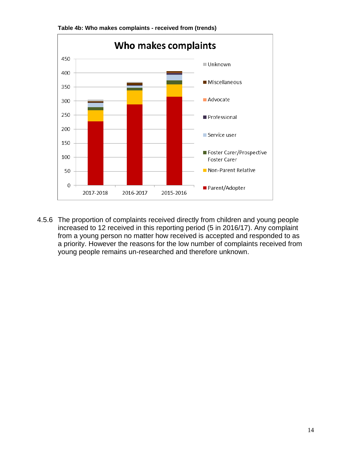

**Table 4b: Who makes complaints - received from (trends)**

4.5.6 The proportion of complaints received directly from children and young people increased to 12 received in this reporting period (5 in 2016/17). Any complaint from a young person no matter how received is accepted and responded to as a priority. However the reasons for the low number of complaints received from young people remains un-researched and therefore unknown.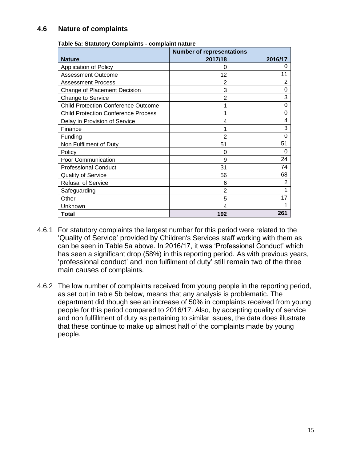# **4.6 Nature of complaints**

|                                            | <b>Number of representations</b> |                |  |
|--------------------------------------------|----------------------------------|----------------|--|
| <b>Nature</b>                              | 2017/18                          | 2016/17        |  |
| Application of Policy                      | 0                                | 0              |  |
| <b>Assessment Outcome</b>                  | 12                               | 11             |  |
| <b>Assessment Process</b>                  | 2                                | 2              |  |
| Change of Placement Decision               | 3                                | 0              |  |
| Change to Service                          | $\overline{2}$                   | 3              |  |
| <b>Child Protection Conference Outcome</b> |                                  | 0              |  |
| <b>Child Protection Conference Process</b> | 1                                | ი              |  |
| Delay in Provision of Service              | 4                                | 4              |  |
| Finance                                    | 1                                | 3              |  |
| Funding                                    | $\overline{2}$                   | 0              |  |
| Non Fulfilment of Duty                     | 51                               | 51             |  |
| Policy                                     | 0                                | 0              |  |
| Poor Communication                         | 9                                | 24             |  |
| <b>Professional Conduct</b>                | 31                               | 74             |  |
| <b>Quality of Service</b>                  | 56                               | 68             |  |
| <b>Refusal of Service</b>                  | 6                                | $\overline{2}$ |  |
| Safeguarding                               | $\overline{2}$                   |                |  |
| Other                                      | 5                                | 17             |  |
| Unknown                                    | 4                                |                |  |
| Total                                      | 192                              | 261            |  |

#### **Table 5a: Statutory Complaints - complaint nature**

- 4.6.1 For statutory complaints the largest number for this period were related to the 'Quality of Service' provided by Children's Services staff working with them as can be seen in Table 5a above. In 2016/17, it was 'Professional Conduct' which has seen a significant drop (58%) in this reporting period. As with previous years, 'professional conduct' and 'non fulfilment of duty' still remain two of the three main causes of complaints.
- 4.6.2 The low number of complaints received from young people in the reporting period, as set out in table 5b below, means that any analysis is problematic. The department did though see an increase of 50% in complaints received from young people for this period compared to 2016/17. Also, by accepting quality of service and non fulfillment of duty as pertaining to similar issues, the data does illustrate that these continue to make up almost half of the complaints made by young people.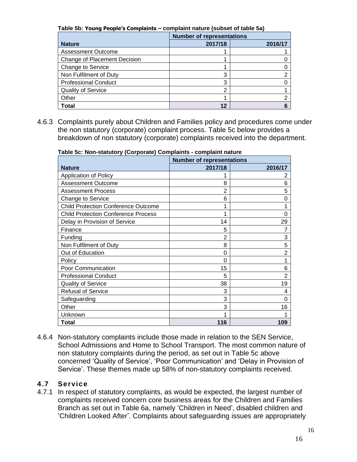**Table 5b: Young People's Complaints – complaint nature (subset of table 5a)**

|                              | <b>Number of representations</b> |         |  |
|------------------------------|----------------------------------|---------|--|
| <b>Nature</b>                | 2017/18                          | 2016/17 |  |
| <b>Assessment Outcome</b>    |                                  |         |  |
| Change of Placement Decision |                                  |         |  |
| Change to Service            |                                  |         |  |
| Non Fulfilment of Duty       | 3                                |         |  |
| <b>Professional Conduct</b>  | 3                                |         |  |
| Quality of Service           | າ                                |         |  |
| Other                        |                                  |         |  |
| Total                        |                                  |         |  |

4.6.3 Complaints purely about Children and Families policy and procedures come under the non statutory (corporate) complaint process. Table 5c below provides a breakdown of non statutory (corporate) complaints received into the department.

**Table 5c: Non-statutory (Corporate) Complaints - complaint nature**

|                                            | <b>Number of representations</b> |                |  |  |
|--------------------------------------------|----------------------------------|----------------|--|--|
| <b>Nature</b>                              | 2017/18                          | 2016/17        |  |  |
| <b>Application of Policy</b>               |                                  | 2              |  |  |
| <b>Assessment Outcome</b>                  | 8                                | 6              |  |  |
| <b>Assessment Process</b>                  | 2                                | 5              |  |  |
| Change to Service                          | 6                                | 0              |  |  |
| <b>Child Protection Conference Outcome</b> |                                  |                |  |  |
| <b>Child Protection Conference Process</b> |                                  | 0              |  |  |
| Delay in Provision of Service              | 14                               | 29             |  |  |
| Finance                                    | 5                                | 7              |  |  |
| Funding                                    | $\overline{2}$                   | 3              |  |  |
| Non Fulfilment of Duty                     | 8                                | 5              |  |  |
| Out of Education                           | 0                                | 2              |  |  |
| Policy                                     | 0                                |                |  |  |
| Poor Communication                         | 15                               | 6              |  |  |
| <b>Professional Conduct</b>                | 5                                | $\overline{2}$ |  |  |
| <b>Quality of Service</b>                  | 38                               | 19             |  |  |
| <b>Refusal of Service</b>                  | 3                                | 4              |  |  |
| Safeguarding                               | 3                                | 0              |  |  |
| Other                                      | 3                                | 16             |  |  |
| Unknown                                    |                                  |                |  |  |
| Total                                      | 116                              | 109            |  |  |

4.6.4 Non-statutory complaints include those made in relation to the SEN Service, School Admissions and Home to School Transport. The most common nature of non statutory complaints during the period, as set out in Table 5c above concerned 'Quality of Service', 'Poor Communication' and 'Delay in Provision of Service'. These themes made up 58% of non-statutory complaints received.

# **4.7 Service**

4.7.1 In respect of statutory complaints, as would be expected, the largest number of complaints received concern core business areas for the Children and Families Branch as set out in Table 6a, namely 'Children in Need', disabled children and 'Children Looked After'. Complaints about safeguarding issues are appropriately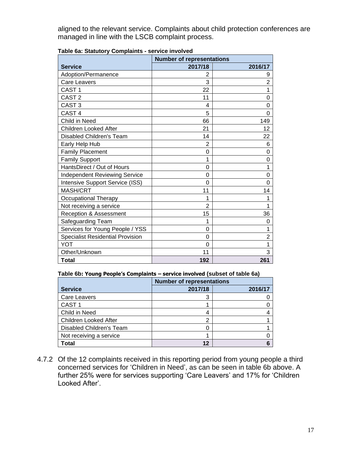aligned to the relevant service. Complaints about child protection conferences are managed in line with the LSCB complaint process.

|                                         | <b>Number of representations</b> |                |  |  |
|-----------------------------------------|----------------------------------|----------------|--|--|
| <b>Service</b>                          | 2017/18                          | 2016/17        |  |  |
| Adoption/Permanence                     | 2                                | 9              |  |  |
| <b>Care Leavers</b>                     | 3                                | $\overline{2}$ |  |  |
| CAST <sub>1</sub>                       | 22                               | 1              |  |  |
| CAST <sub>2</sub>                       | 11                               | 0              |  |  |
| CAST <sub>3</sub>                       | 4                                | 0              |  |  |
| CAST <sub>4</sub>                       | 5                                | 0              |  |  |
| Child in Need                           | 66                               | 149            |  |  |
| <b>Children Looked After</b>            | 21                               | 12             |  |  |
| Disabled Children's Team                | 14                               | 22             |  |  |
| Early Help Hub                          | 2                                | 6              |  |  |
| <b>Family Placement</b>                 | 0                                | 0              |  |  |
| <b>Family Support</b>                   | 1                                | 0              |  |  |
| HantsDirect / Out of Hours              | 0                                | 1              |  |  |
| <b>Independent Reviewing Service</b>    | 0                                | 0              |  |  |
| Intensive Support Service (ISS)         | 0                                | $\Omega$       |  |  |
| <b>MASH/CRT</b>                         | 11                               | 14             |  |  |
| Occupational Therapy                    | 1                                | 1              |  |  |
| Not receiving a service                 | $\overline{2}$                   | 1              |  |  |
| Reception & Assessment                  | 15                               | 36             |  |  |
| Safeguarding Team                       | 1                                | 0              |  |  |
| Services for Young People / YSS         | 0                                | 1              |  |  |
| <b>Specialist Residential Provision</b> | 0                                | $\overline{2}$ |  |  |
| YOT                                     | 0                                | 1              |  |  |
| Other/Unknown                           | 11                               | 3              |  |  |
| Total                                   | 192                              | 261            |  |  |

**Table 6a: Statutory Complaints - service involved**

#### **Table 6b: Young People's Complaints – service involved (subset of table 6a)**

|                          | <b>Number of representations</b> |         |  |
|--------------------------|----------------------------------|---------|--|
| <b>Service</b>           | 2017/18                          | 2016/17 |  |
| Care Leavers             | 3                                |         |  |
| CAST <sub>1</sub>        |                                  |         |  |
| Child in Need            | 4                                |         |  |
| Children Looked After    | 2                                |         |  |
| Disabled Children's Team | 0                                |         |  |
| Not receiving a service  |                                  |         |  |
| <b>Total</b>             | 12 <sup>7</sup>                  |         |  |

4.7.2 Of the 12 complaints received in this reporting period from young people a third concerned services for 'Children in Need', as can be seen in table 6b above. A further 25% were for services supporting 'Care Leavers' and 17% for 'Children Looked After'.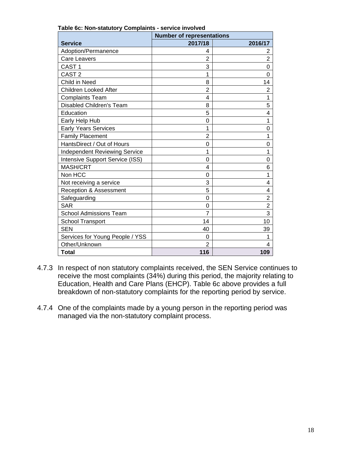|                                        | <b>Number of representations</b> |                |
|----------------------------------------|----------------------------------|----------------|
| <b>Service</b>                         | 2017/18                          | 2016/17        |
| Adoption/Permanence                    | 4                                | 2              |
| Care Leavers                           | $\overline{2}$                   | $\overline{2}$ |
| CAST <sub>1</sub>                      | 3                                | 0              |
| CAST <sub>2</sub>                      | 1                                | 0              |
| Child in Need                          | 8                                | 14             |
| <b>Children Looked After</b>           | $\overline{2}$                   | $\overline{2}$ |
| <b>Complaints Team</b>                 | 4                                | 1              |
| <b>Disabled Children's Team</b>        | 8                                | 5              |
| Education                              | 5                                | 4              |
| Early Help Hub                         | $\Omega$                         | 1              |
| <b>Early Years Services</b>            | 1                                | 0              |
| <b>Family Placement</b>                | $\overline{2}$                   | 1              |
| HantsDirect / Out of Hours             | 0                                | 0              |
| <b>Independent Reviewing Service</b>   | 1                                | 1              |
| <b>Intensive Support Service (ISS)</b> | 0                                | $\mathbf 0$    |
| MASH/CRT                               | 4                                | 6              |
| Non HCC                                | $\Omega$                         | 1              |
| Not receiving a service                | 3                                | 4              |
| <b>Reception &amp; Assessment</b>      | 5                                | 4              |
| Safeguarding                           | 0                                | $\overline{2}$ |
| <b>SAR</b>                             | $\Omega$                         | $\overline{2}$ |
| <b>School Admissions Team</b>          | $\overline{7}$                   | $\overline{3}$ |
| School Transport                       | 14                               | 10             |
| <b>SEN</b>                             | 40                               | 39             |
| Services for Young People / YSS        | 0                                | 1              |
| Other/Unknown                          | $\overline{2}$                   | 4              |
| Total                                  | 116                              | 109            |

**Table 6c: Non-statutory Complaints - service involved**

- 4.7.3 In respect of non statutory complaints received, the SEN Service continues to receive the most complaints (34%) during this period, the majority relating to Education, Health and Care Plans (EHCP). Table 6c above provides a full breakdown of non-statutory complaints for the reporting period by service.
- 4.7.4 One of the complaints made by a young person in the reporting period was managed via the non-statutory complaint process.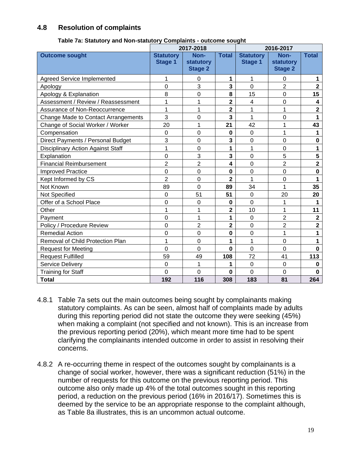## **4.8 Resolution of complaints**

|                                          | 2017-2018                          |                                     |                         | 2016-2017                          |                                     |                         |
|------------------------------------------|------------------------------------|-------------------------------------|-------------------------|------------------------------------|-------------------------------------|-------------------------|
| <b>Outcome sought</b>                    | <b>Statutory</b><br><b>Stage 1</b> | Non-<br>statutory<br><b>Stage 2</b> | <b>Total</b>            | <b>Statutory</b><br><b>Stage 1</b> | Non-<br>statutory<br><b>Stage 2</b> | <b>Total</b>            |
| <b>Agreed Service Implemented</b>        |                                    | 0                                   | 1                       | 1                                  | 0                                   | 1                       |
| Apology                                  | 0                                  | 3                                   | 3                       | $\overline{0}$                     | $\overline{2}$                      | $\overline{\mathbf{2}}$ |
| Apology & Explanation                    | 8                                  | 0                                   | 8                       | 15                                 | $\Omega$                            | 15                      |
| Assessment / Review / Reassessment       | 1                                  | 1                                   | $\overline{\mathbf{2}}$ | $\overline{\mathbf{4}}$            | $\mathbf 0$                         | $\overline{\mathbf{4}}$ |
| Assurance of Non-Reoccurrence            | 1                                  | 1                                   | $\overline{\mathbf{2}}$ | 1                                  | 1                                   | $\overline{\mathbf{2}}$ |
| Change Made to Contact Arrangements      | 3                                  | 0                                   | 3                       | 1                                  | $\mathbf 0$                         | 1                       |
| Change of Social Worker / Worker         | 20                                 | 1                                   | 21                      | 42                                 | 1                                   | 43                      |
| Compensation                             | $\mathbf 0$                        | 0                                   | $\bf{0}$                | $\mathbf 0$                        | 1                                   | 1                       |
| Direct Payments / Personal Budget        | 3                                  | 0                                   | 3                       | $\mathbf 0$                        | $\mathbf 0$                         | $\mathbf 0$             |
| <b>Disciplinary Action Against Staff</b> | 1                                  | 0                                   | 1                       | 1                                  | $\overline{0}$                      | 1                       |
| Explanation                              | 0                                  | 3                                   | 3                       | $\mathbf 0$                        | 5                                   | 5                       |
| <b>Financial Reimbursement</b>           | $\overline{2}$                     | $\overline{2}$                      | 4                       | $\mathbf 0$                        | $\overline{2}$                      | $\overline{\mathbf{2}}$ |
| <b>Improved Practice</b>                 | $\overline{0}$                     | 0                                   | $\mathbf 0$             | 0                                  | $\overline{0}$                      | $\mathbf 0$             |
| Kept Informed by CS                      | $\overline{2}$                     | 0                                   | 2                       | 1                                  | $\mathbf 0$                         | 1                       |
| Not Known                                | 89                                 | $\overline{0}$                      | 89                      | 34                                 | 1                                   | 35                      |
| Not Specified                            | 0                                  | 51                                  | 51                      | $\overline{0}$                     | 20                                  | 20                      |
| Offer of a School Place                  | 0                                  | 0                                   | $\bf{0}$                | $\overline{0}$                     | 1                                   | 1                       |
| Other                                    | 1                                  | $\mathbf{1}$                        | $\overline{2}$          | 10                                 | 1                                   | 11                      |
| Payment                                  | $\overline{0}$                     | $\mathbf 1$                         | 1                       | $\mathbf 0$                        | $\overline{2}$                      | $\overline{\mathbf{2}}$ |
| Policy / Procedure Review                | 0                                  | $\overline{2}$                      | $\overline{\mathbf{2}}$ | $\overline{0}$                     | $\overline{2}$                      | $\overline{2}$          |
| <b>Remedial Action</b>                   | 0                                  | 0                                   | $\mathbf 0$             | 0                                  | 1                                   | 1                       |
| Removal of Child Protection Plan         | 1                                  | $\mathbf 0$                         | 1                       | 1                                  | $\overline{0}$                      | 1                       |
| <b>Request for Meeting</b>               | $\overline{0}$                     | 0                                   | $\bf{0}$                | $\overline{0}$                     | $\overline{0}$                      | $\mathbf{0}$            |
| <b>Request Fulfilled</b>                 | 59                                 | 49                                  | 108                     | 72                                 | 41                                  | 113                     |
| Service Delivery                         | $\overline{0}$                     | 1                                   | 1                       | $\mathbf 0$                        | $\mathbf 0$                         | $\mathbf 0$             |
| <b>Training for Staff</b>                | $\overline{0}$                     | 0                                   | $\mathbf 0$             | 0                                  | 0                                   | $\Omega$                |
| <b>Total</b>                             | 192                                | 116                                 | 308                     | 183                                | 81                                  | 264                     |

#### **Table 7a: Statutory and Non-statutory Complaints - outcome sought**

- 4.8.1 Table 7a sets out the main outcomes being sought by complainants making statutory complaints. As can be seen, almost half of complaints made by adults during this reporting period did not state the outcome they were seeking (45%) when making a complaint (not specified and not known). This is an increase from the previous reporting period (20%), which meant more time had to be spent clarifying the complainants intended outcome in order to assist in resolving their concerns.
- 4.8.2 A re-occurring theme in respect of the outcomes sought by complainants is a change of social worker, however, there was a significant reduction (51%) in the number of requests for this outcome on the previous reporting period. This outcome also only made up 4% of the total outcomes sought in this reporting period, a reduction on the previous period (16% in 2016/17). Sometimes this is deemed by the service to be an appropriate response to the complaint although, as Table 8a illustrates, this is an uncommon actual outcome.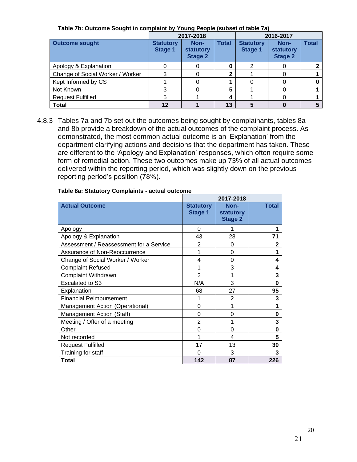|                                  | 2017-2018                          |                                     |              | 2016-2017                          |                                     |              |
|----------------------------------|------------------------------------|-------------------------------------|--------------|------------------------------------|-------------------------------------|--------------|
| <b>Outcome sought</b>            | <b>Statutory</b><br><b>Stage 1</b> | Non-<br>statutory<br><b>Stage 2</b> | <b>Total</b> | <b>Statutory</b><br><b>Stage 1</b> | Non-<br>statutory<br><b>Stage 2</b> | <b>Total</b> |
| Apology & Explanation            |                                    | 0                                   |              | າ                                  | O                                   |              |
| Change of Social Worker / Worker |                                    |                                     |              |                                    |                                     |              |
| Kept Informed by CS              |                                    | O                                   |              |                                    |                                     |              |
| Not Known                        |                                    | $\mathbf{0}$                        | 5            |                                    |                                     |              |
| <b>Request Fulfilled</b>         | 5                                  |                                     | 4            |                                    |                                     |              |
| <b>Total</b>                     | 12                                 |                                     | 13           |                                    |                                     |              |

**Table 7b: Outcome Sought in complaint by Young People (subset of table 7a)**

4.8.3 Tables 7a and 7b set out the outcomes being sought by complainants, tables 8a and 8b provide a breakdown of the actual outcomes of the complaint process. As demonstrated, the most common actual outcome is an 'Explanation' from the department clarifying actions and decisions that the department has taken. These are different to the 'Apology and Explanation' responses, which often require some form of remedial action. These two outcomes make up 73% of all actual outcomes delivered within the reporting period, which was slightly down on the previous reporting period's position (78%).

|                                         |                             | 2017-2018                           |              |
|-----------------------------------------|-----------------------------|-------------------------------------|--------------|
| <b>Actual Outcome</b>                   | <b>Statutory</b><br>Stage 1 | Non-<br>statutory<br><b>Stage 2</b> | <b>Total</b> |
| Apology                                 | 0                           |                                     |              |
| Apology & Explanation                   | 43                          | 28                                  | 71           |
| Assessment / Reassessment for a Service | 2                           | 0                                   | 2            |
| Assurance of Non-Reoccurrence           |                             | 0                                   | 1            |
| Change of Social Worker / Worker        | 4                           | 0                                   | 4            |
| <b>Complaint Refused</b>                | 1                           | 3                                   | 4            |
| Complaint Withdrawn                     | $\overline{2}$              | 1                                   | 3            |
| Escalated to S3                         | N/A                         | 3                                   | 0            |
| Explanation                             | 68                          | 27                                  | 95           |
| <b>Financial Reimbursement</b>          |                             | $\overline{2}$                      | 3            |
| Management Action (Operational)         | 0                           | 1                                   | 1            |
| Management Action (Staff)               | 0                           | 0                                   | 0            |
| Meeting / Offer of a meeting            | $\overline{2}$              | 1                                   | 3            |
| Other                                   | 0                           | $\mathbf{0}$                        | 0            |
| Not recorded                            | 1                           | 4                                   | 5            |
| <b>Request Fulfilled</b>                | 17                          | 13                                  | 30           |
| Training for staff                      | 0                           | 3                                   | 3            |
| Total                                   | 142                         | 87                                  | 226          |

#### **Table 8a: Statutory Complaints - actual outcome**

21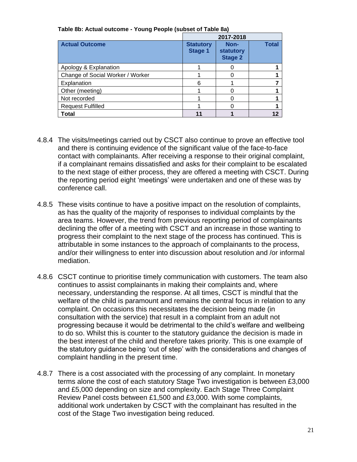|                                  | 2017-2018                          |                                     |              |
|----------------------------------|------------------------------------|-------------------------------------|--------------|
| <b>Actual Outcome</b>            | <b>Statutory</b><br><b>Stage 1</b> | Non-<br>statutory<br><b>Stage 2</b> | <b>Total</b> |
| Apology & Explanation            |                                    |                                     |              |
| Change of Social Worker / Worker |                                    |                                     |              |
| Explanation                      | 6                                  |                                     |              |
| Other (meeting)                  |                                    |                                     |              |
| Not recorded                     |                                    |                                     |              |
| <b>Request Fulfilled</b>         |                                    |                                     |              |
| Total                            |                                    |                                     |              |

#### **Table 8b: Actual outcome - Young People (subset of Table 8a)**

- 4.8.4 The visits/meetings carried out by CSCT also continue to prove an effective tool and there is continuing evidence of the significant value of the face-to-face contact with complainants. After receiving a response to their original complaint, if a complainant remains dissatisfied and asks for their complaint to be escalated to the next stage of either process, they are offered a meeting with CSCT. During the reporting period eight 'meetings' were undertaken and one of these was by conference call.
- 4.8.5 These visits continue to have a positive impact on the resolution of complaints, as has the quality of the majority of responses to individual complaints by the area teams. However, the trend from previous reporting period of complainants declining the offer of a meeting with CSCT and an increase in those wanting to progress their complaint to the next stage of the process has continued. This is attributable in some instances to the approach of complainants to the process, and/or their willingness to enter into discussion about resolution and /or informal mediation.
- 4.8.6 CSCT continue to prioritise timely communication with customers. The team also continues to assist complainants in making their complaints and, where necessary, understanding the response. At all times, CSCT is mindful that the welfare of the child is paramount and remains the central focus in relation to any complaint. On occasions this necessitates the decision being made (in consultation with the service) that result in a complaint from an adult not progressing because it would be detrimental to the child's welfare and wellbeing to do so. Whilst this is counter to the statutory guidance the decision is made in the best interest of the child and therefore takes priority. This is one example of the statutory guidance being 'out of step' with the considerations and changes of complaint handling in the present time.
- 4.8.7 There is a cost associated with the processing of any complaint. In monetary terms alone the cost of each statutory Stage Two investigation is between £3,000 and £5,000 depending on size and complexity. Each Stage Three Complaint Review Panel costs between £1,500 and £3,000. With some complaints, additional work undertaken by CSCT with the complainant has resulted in the cost of the Stage Two investigation being reduced.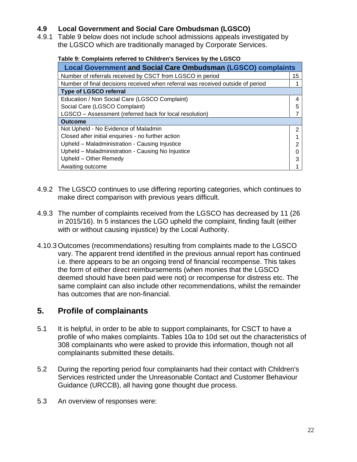# **4.9 Local Government and Social Care Ombudsman (LGSCO)**

4.9.1 Table 9 below does not include school admissions appeals investigated by the LGSCO which are traditionally managed by Corporate Services.

#### **Table 9: Complaints referred to Children's Services by the LGSCO**

| <b>Local Government and Social Care Ombudsman (LGSCO) complaints</b>            |    |  |
|---------------------------------------------------------------------------------|----|--|
| Number of referrals received by CSCT from LGSCO in period                       | 15 |  |
| Number of final decisions received when referral was received outside of period |    |  |
| <b>Type of LGSCO referral</b>                                                   |    |  |
| Education / Non Social Care (LGSCO Complaint)                                   | 4  |  |
| Social Care (LGSCO Complaint)                                                   |    |  |
| LGSCO - Assessment (referred back for local resolution)                         |    |  |
| <b>Outcome</b>                                                                  |    |  |
| Not Upheld - No Evidence of Maladmin                                            | 2  |  |
| Closed after initial enquiries - no further action                              |    |  |
| Upheld - Maladministration - Causing Injustice                                  |    |  |
| Upheld - Maladministration - Causing No Injustice                               |    |  |
| Upheld - Other Remedy                                                           |    |  |
| Awaiting outcome                                                                |    |  |

- 4.9.2 The LGSCO continues to use differing reporting categories, which continues to make direct comparison with previous years difficult.
- 4.9.3 The number of complaints received from the LGSCO has decreased by 11 (26 in 2015/16). In 5 instances the LGO upheld the complaint, finding fault (either with or without causing injustice) by the Local Authority.
- 4.10.3 Outcomes (recommendations) resulting from complaints made to the LGSCO vary. The apparent trend identified in the previous annual report has continued i.e. there appears to be an ongoing trend of financial recompense. This takes the form of either direct reimbursements (when monies that the LGSCO deemed should have been paid were not) or recompense for distress etc. The same complaint can also include other recommendations, whilst the remainder has outcomes that are non-financial.

# **5. Profile of complainants**

- 5.1 It is helpful, in order to be able to support complainants, for CSCT to have a profile of who makes complaints. Tables 10a to 10d set out the characteristics of 308 complainants who were asked to provide this information, though not all complainants submitted these details.
- 5.2 During the reporting period four complainants had their contact with Children's Services restricted under the Unreasonable Contact and Customer Behaviour Guidance (URCCB), all having gone thought due process.
- 5.3 An overview of responses were: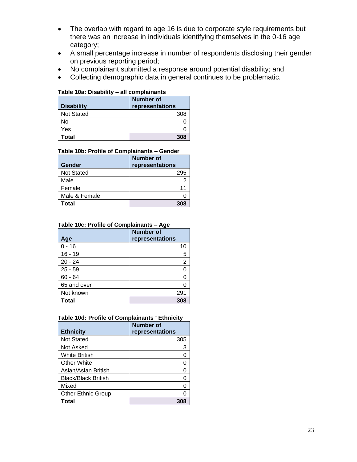- The overlap with regard to age 16 is due to corporate style requirements but there was an increase in individuals identifying themselves in the 0-16 age category;
- A small percentage increase in number of respondents disclosing their gender on previous reporting period;
- No complainant submitted a response around potential disability; and
- Collecting demographic data in general continues to be problematic.

#### **Table 10a: Disability – all complainants**

| <b>Disability</b> | Number of<br>representations |
|-------------------|------------------------------|
| <b>Not Stated</b> | 308                          |
| No                |                              |
| Yes               |                              |
| Total             | 308                          |

#### **Table 10b: Profile of Complainants – Gender**

| Gender            | Number of<br>representations |
|-------------------|------------------------------|
| <b>Not Stated</b> | 295                          |
| Male              |                              |
| Female            | 11                           |
| Male & Female     |                              |
| Total             | 308                          |

#### **Table 10c: Profile of Complainants – Age**

|              | <b>Number of</b> |
|--------------|------------------|
| Age          | representations  |
| $0 - 16$     | 10               |
| $16 - 19$    | 5                |
| $20 - 24$    | $\overline{2}$   |
| $25 - 59$    |                  |
| $60 - 64$    |                  |
| 65 and over  |                  |
| Not known    | 291              |
| <b>Total</b> | 308              |

#### **Table 10d: Profile of Complainants** – **Ethnicity**

|                            | <b>Number of</b> |
|----------------------------|------------------|
| <b>Ethnicity</b>           | representations  |
| <b>Not Stated</b>          | 305              |
| Not Asked                  | 3                |
| White British              |                  |
| <b>Other White</b>         |                  |
| Asian/Asian British        | O                |
| <b>Black/Black British</b> |                  |
| Mixed                      | O                |
| <b>Other Ethnic Group</b>  |                  |
| Total                      |                  |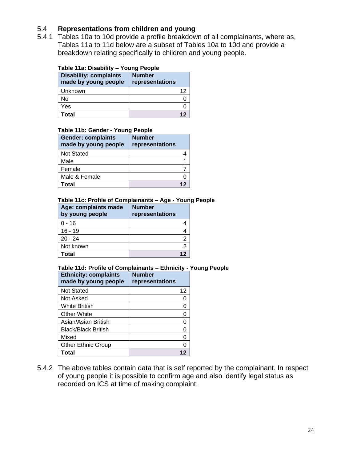# 5.4 **Representations from children and young**

5.4.1 Tables 10a to 10d provide a profile breakdown of all complainants, where as, Tables 11a to 11d below are a subset of Tables 10a to 10d and provide a breakdown relating specifically to children and young people.

#### **Table 11a: Disability – Young People**

| <b>Disability: complaints</b><br>made by young people | <b>Number</b><br>representations |
|-------------------------------------------------------|----------------------------------|
| Unknown                                               | 12                               |
| No                                                    |                                  |
| Yes                                                   |                                  |
| Total                                                 |                                  |

#### **Table 11b: Gender - Young People**

| <b>Gender: complaints</b><br>made by young people | <b>Number</b><br>representations |
|---------------------------------------------------|----------------------------------|
| <b>Not Stated</b>                                 |                                  |
| Male                                              |                                  |
| Female                                            |                                  |
| Male & Female                                     |                                  |
| Total                                             |                                  |

#### **Table 11c: Profile of Complainants – Age - Young People**

| Age: complaints made<br>by young people | <b>Number</b><br>representations |
|-----------------------------------------|----------------------------------|
| $0 - 16$                                |                                  |
| $16 - 19$                               |                                  |
| $20 - 24$                               |                                  |
| Not known                               |                                  |
| Total                                   |                                  |

#### **Table 11d: Profile of Complainants – Ethnicity - Young People Ethnicity: complaints made by young people Number representations** Not Stated 12 Not Asked 0 White British 0 Other White **Disk Communist Communist Communist Communist Communist Communist Communist Communist Communist Co** Asian/Asian British 0 Black/Black British **Drama 1** and **1** and **1 1** and **1 0 0** Mixed 0 Other Ethnic Group | 0 **Total 12**

5.4.2 The above tables contain data that is self reported by the complainant. In respect of young people it is possible to confirm age and also identify legal status as

recorded on ICS at time of making complaint.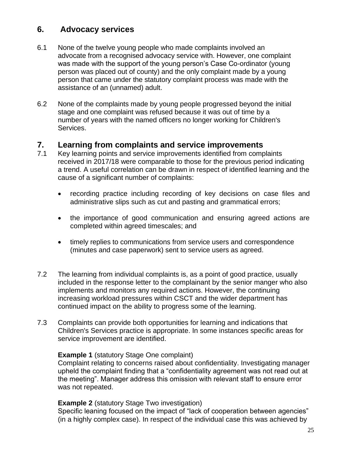# **6. Advocacy services**

- 6.1 None of the twelve young people who made complaints involved an advocate from a recognised advocacy service with. However, one complaint was made with the support of the young person's Case Co-ordinator (young person was placed out of county) and the only complaint made by a young person that came under the statutory complaint process was made with the assistance of an (unnamed) adult.
- 6.2 None of the complaints made by young people progressed beyond the initial stage and one complaint was refused because it was out of time by a number of years with the named officers no longer working for Children's Services.

# **7. Learning from complaints and service improvements**

- 7.1 Key learning points and service improvements identified from complaints received in 2017/18 were comparable to those for the previous period indicating a trend. A useful correlation can be drawn in respect of identified learning and the cause of a significant number of complaints:
	- recording practice including recording of key decisions on case files and administrative slips such as cut and pasting and grammatical errors;
	- the importance of good communication and ensuring agreed actions are completed within agreed timescales; and
	- timely replies to communications from service users and correspondence (minutes and case paperwork) sent to service users as agreed.
- 7.2 The learning from individual complaints is, as a point of good practice, usually included in the response letter to the complainant by the senior manger who also implements and monitors any required actions. However, the continuing increasing workload pressures within CSCT and the wider department has continued impact on the ability to progress some of the learning.
- 7.3 Complaints can provide both opportunities for learning and indications that Children's Services practice is appropriate. In some instances specific areas for service improvement are identified.

## **Example 1** (statutory Stage One complaint)

Complaint relating to concerns raised about confidentiality. Investigating manager upheld the complaint finding that a "confidentiality agreement was not read out at the meeting". Manager address this omission with relevant staff to ensure error was not repeated.

## **Example 2** (statutory Stage Two investigation)

Specific leaning focused on the impact of "lack of cooperation between agencies" (in a highly complex case). In respect of the individual case this was achieved by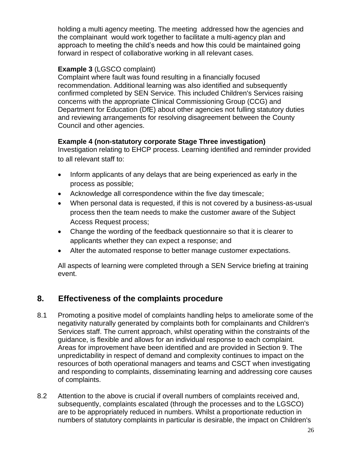holding a multi agency meeting. The meeting addressed how the agencies and the complainant would work together to facilitate a multi-agency plan and approach to meeting the child's needs and how this could be maintained going forward in respect of collaborative working in all relevant cases.

# **Example 3** (LGSCO complaint)

Complaint where fault was found resulting in a financially focused recommendation. Additional learning was also identified and subsequently confirmed completed by SEN Service. This included Children's Services raising concerns with the appropriate Clinical Commissioning Group (CCG) and Department for Education (DfE) about other agencies not fulling statutory duties and reviewing arrangements for resolving disagreement between the County Council and other agencies.

# **Example 4 (non-statutory corporate Stage Three investigation)**

Investigation relating to EHCP process. Learning identified and reminder provided to all relevant staff to:

- Inform applicants of any delays that are being experienced as early in the process as possible;
- Acknowledge all correspondence within the five day timescale;
- When personal data is requested, if this is not covered by a business-as-usual process then the team needs to make the customer aware of the Subject Access Request process;
- Change the wording of the feedback questionnaire so that it is clearer to applicants whether they can expect a response; and
- Alter the automated response to better manage customer expectations.

All aspects of learning were completed through a SEN Service briefing at training event.

# **8. Effectiveness of the complaints procedure**

- 8.1 Promoting a positive model of complaints handling helps to ameliorate some of the negativity naturally generated by complaints both for complainants and Children's Services staff. The current approach, whilst operating within the constraints of the guidance, is flexible and allows for an individual response to each complaint. Areas for improvement have been identified and are provided in Section 9. The unpredictability in respect of demand and complexity continues to impact on the resources of both operational managers and teams and CSCT when investigating and responding to complaints, disseminating learning and addressing core causes of complaints.
- 8.2 Attention to the above is crucial if overall numbers of complaints received and, subsequently, complaints escalated (through the processes and to the LGSCO) are to be appropriately reduced in numbers. Whilst a proportionate reduction in numbers of statutory complaints in particular is desirable, the impact on Children's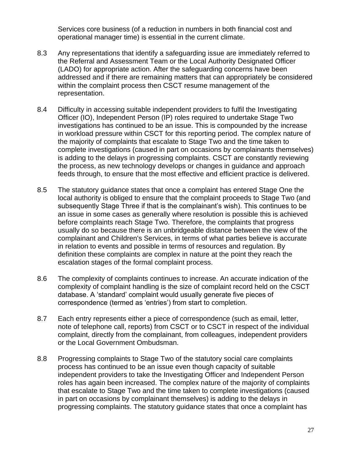Services core business (of a reduction in numbers in both financial cost and operational manager time) is essential in the current climate.

- 8.3 Any representations that identify a safeguarding issue are immediately referred to the Referral and Assessment Team or the Local Authority Designated Officer (LADO) for appropriate action. After the safeguarding concerns have been addressed and if there are remaining matters that can appropriately be considered within the complaint process then CSCT resume management of the representation.
- 8.4 Difficulty in accessing suitable independent providers to fulfil the Investigating Officer (IO), Independent Person (IP) roles required to undertake Stage Two investigations has continued to be an issue. This is compounded by the increase in workload pressure within CSCT for this reporting period. The complex nature of the majority of complaints that escalate to Stage Two and the time taken to complete investigations (caused in part on occasions by complainants themselves) is adding to the delays in progressing complaints. CSCT are constantly reviewing the process, as new technology develops or changes in guidance and approach feeds through, to ensure that the most effective and efficient practice is delivered.
- 8.5 The statutory guidance states that once a complaint has entered Stage One the local authority is obliged to ensure that the complaint proceeds to Stage Two (and subsequently Stage Three if that is the complainant's wish). This continues to be an issue in some cases as generally where resolution is possible this is achieved before complaints reach Stage Two. Therefore, the complaints that progress usually do so because there is an unbridgeable distance between the view of the complainant and Children's Services, in terms of what parties believe is accurate in relation to events and possible in terms of resources and regulation. By definition these complaints are complex in nature at the point they reach the escalation stages of the formal complaint process.
- 8.6 The complexity of complaints continues to increase. An accurate indication of the complexity of complaint handling is the size of complaint record held on the CSCT database. A 'standard' complaint would usually generate five pieces of correspondence (termed as 'entries') from start to completion.
- 8.7 Each entry represents either a piece of correspondence (such as email, letter, note of telephone call, reports) from CSCT or to CSCT in respect of the individual complaint, directly from the complainant, from colleagues, independent providers or the Local Government Ombudsman.
- 8.8 Progressing complaints to Stage Two of the statutory social care complaints process has continued to be an issue even though capacity of suitable independent providers to take the Investigating Officer and Independent Person roles has again been increased. The complex nature of the majority of complaints that escalate to Stage Two and the time taken to complete investigations (caused in part on occasions by complainant themselves) is adding to the delays in progressing complaints. The statutory guidance states that once a complaint has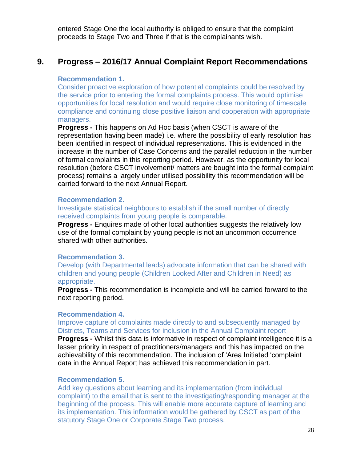entered Stage One the local authority is obliged to ensure that the complaint proceeds to Stage Two and Three if that is the complainants wish.

# **9. Progress – 2016/17 Annual Complaint Report Recommendations**

#### **Recommendation 1.**

Consider proactive exploration of how potential complaints could be resolved by the service prior to entering the formal complaints process. This would optimise opportunities for local resolution and would require close monitoring of timescale compliance and continuing close positive liaison and cooperation with appropriate managers.

**Progress -** This happens on Ad Hoc basis (when CSCT is aware of the representation having been made) i.e. where the possibility of early resolution has been identified in respect of individual representations. This is evidenced in the increase in the number of Case Concerns and the parallel reduction in the number of formal complaints in this reporting period. However, as the opportunity for local resolution (before CSCT involvement/ matters are bought into the formal complaint process) remains a largely under utilised possibility this recommendation will be carried forward to the next Annual Report.

#### **Recommendation 2.**

#### Investigate statistical neighbours to establish if the small number of directly received complaints from young people is comparable.

**Progress -** Enquires made of other local authorities suggests the relatively low use of the formal complaint by young people is not an uncommon occurrence shared with other authorities.

#### **Recommendation 3.**

Develop (with Departmental leads) advocate information that can be shared with children and young people (Children Looked After and Children in Need) as appropriate.

**Progress -** This recommendation is incomplete and will be carried forward to the next reporting period.

#### **Recommendation 4.**

Improve capture of complaints made directly to and subsequently managed by Districts, Teams and Services for inclusion in the Annual Complaint report

**Progress -** Whilst this data is informative in respect of complaint intelligence it is a lesser priority in respect of practitioners/managers and this has impacted on the achievability of this recommendation. The inclusion of 'Area Initiated 'complaint data in the Annual Report has achieved this recommendation in part.

#### **Recommendation 5.**

Add key questions about learning and its implementation (from individual complaint) to the email that is sent to the investigating/responding manager at the beginning of the process. This will enable more accurate capture of learning and its implementation. This information would be gathered by CSCT as part of the statutory Stage One or Corporate Stage Two process.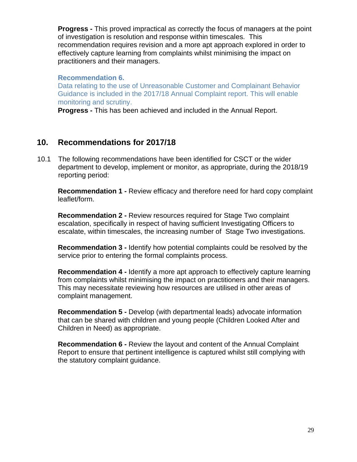**Progress -** This proved impractical as correctly the focus of managers at the point of investigation is resolution and response within timescales. This recommendation requires revision and a more apt approach explored in order to effectively capture learning from complaints whilst minimising the impact on practitioners and their managers.

#### **Recommendation 6.**

Data relating to the use of Unreasonable Customer and Complainant Behavior Guidance is included in the 2017/18 Annual Complaint report. This will enable monitoring and scrutiny.

**Progress -** This has been achieved and included in the Annual Report.

# **10. Recommendations for 2017/18**

10.1 The following recommendations have been identified for CSCT or the wider department to develop, implement or monitor, as appropriate, during the 2018/19 reporting period:

**Recommendation 1 -** Review efficacy and therefore need for hard copy complaint leaflet/form.

**Recommendation 2 -** Review resources required for Stage Two complaint escalation, specifically in respect of having sufficient Investigating Officers to escalate, within timescales, the increasing number of Stage Two investigations.

**Recommendation 3 -** Identify how potential complaints could be resolved by the service prior to entering the formal complaints process.

**Recommendation 4 -** Identify a more apt approach to effectively capture learning from complaints whilst minimising the impact on practitioners and their managers. This may necessitate reviewing how resources are utilised in other areas of complaint management.

**Recommendation 5 -** Develop (with departmental leads) advocate information that can be shared with children and young people (Children Looked After and Children in Need) as appropriate.

**Recommendation 6 -** Review the layout and content of the Annual Complaint Report to ensure that pertinent intelligence is captured whilst still complying with the statutory complaint guidance.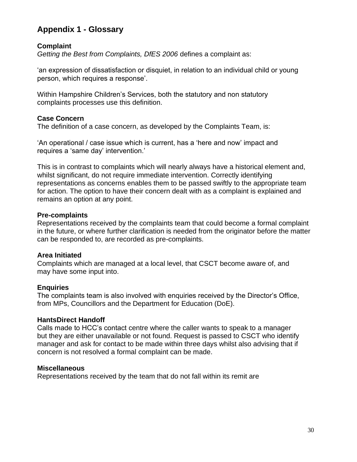# **Appendix 1 - Glossary**

# **Complaint**

*Getting the Best from Complaints, DfES 2006* defines a complaint as:

'an expression of dissatisfaction or disquiet, in relation to an individual child or young person, which requires a response'.

Within Hampshire Children's Services, both the statutory and non statutory complaints processes use this definition.

## **Case Concern**

The definition of a case concern, as developed by the Complaints Team, is:

'An operational / case issue which is current, has a 'here and now' impact and requires a 'same day' intervention.'

This is in contrast to complaints which will nearly always have a historical element and, whilst significant, do not require immediate intervention. Correctly identifying representations as concerns enables them to be passed swiftly to the appropriate team for action. The option to have their concern dealt with as a complaint is explained and remains an option at any point.

## **Pre-complaints**

Representations received by the complaints team that could become a formal complaint in the future, or where further clarification is needed from the originator before the matter can be responded to, are recorded as pre-complaints.

## **Area Initiated**

Complaints which are managed at a local level, that CSCT become aware of, and may have some input into.

## **Enquiries**

The complaints team is also involved with enquiries received by the Director's Office, from MPs, Councillors and the Department for Education (DoE).

## **HantsDirect Handoff**

Calls made to HCC's contact centre where the caller wants to speak to a manager but they are either unavailable or not found. Request is passed to CSCT who identify manager and ask for contact to be made within three days whilst also advising that if concern is not resolved a formal complaint can be made.

## **Miscellaneous**

Representations received by the team that do not fall within its remit are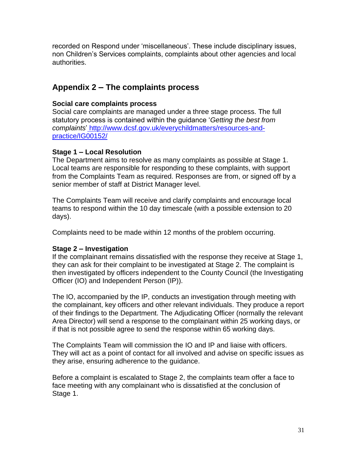recorded on Respond under 'miscellaneous'. These include disciplinary issues, non Children's Services complaints, complaints about other agencies and local authorities.

# **Appendix 2 – The complaints process**

# **Social care complaints process**

Social care complaints are managed under a three stage process. The full statutory process is contained within the guidance '*Getting the best from complaints*' [http://www.dcsf.gov.uk/everychildmatters/resources-and](http://www.dcsf.gov.uk/everychildmatters/resources-and-practice/IG00152/)[practice/IG00152/](http://www.dcsf.gov.uk/everychildmatters/resources-and-practice/IG00152/)

# **Stage 1 – Local Resolution**

The Department aims to resolve as many complaints as possible at Stage 1. Local teams are responsible for responding to these complaints, with support from the Complaints Team as required. Responses are from, or signed off by a senior member of staff at District Manager level.

The Complaints Team will receive and clarify complaints and encourage local teams to respond within the 10 day timescale (with a possible extension to 20 days).

Complaints need to be made within 12 months of the problem occurring.

# **Stage 2 – Investigation**

If the complainant remains dissatisfied with the response they receive at Stage 1, they can ask for their complaint to be investigated at Stage 2. The complaint is then investigated by officers independent to the County Council (the Investigating Officer (IO) and Independent Person (IP)).

The IO, accompanied by the IP, conducts an investigation through meeting with the complainant, key officers and other relevant individuals. They produce a report of their findings to the Department. The Adjudicating Officer (normally the relevant Area Director) will send a response to the complainant within 25 working days, or if that is not possible agree to send the response within 65 working days.

The Complaints Team will commission the IO and IP and liaise with officers. They will act as a point of contact for all involved and advise on specific issues as they arise, ensuring adherence to the guidance.

Before a complaint is escalated to Stage 2, the complaints team offer a face to face meeting with any complainant who is dissatisfied at the conclusion of Stage 1.